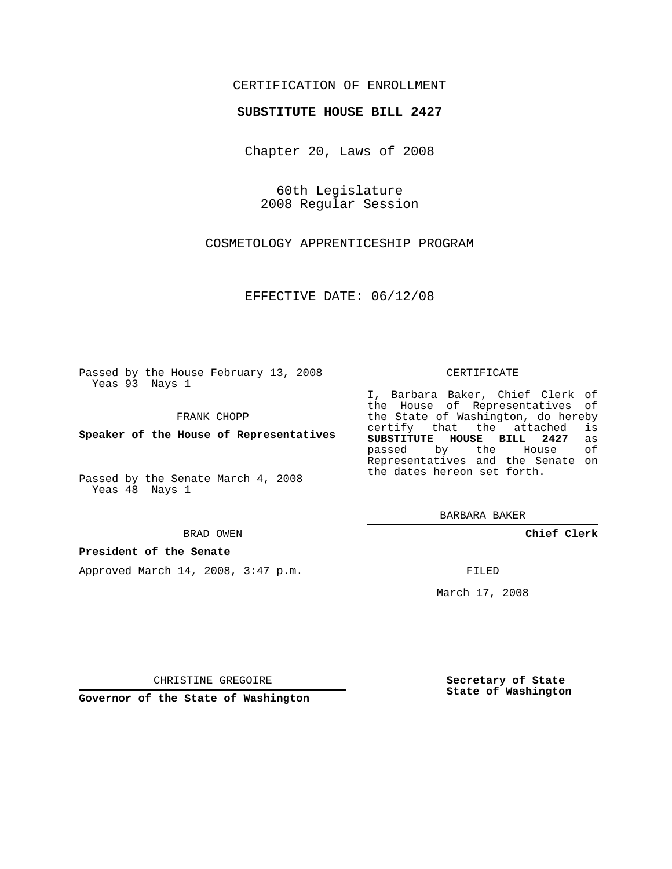### CERTIFICATION OF ENROLLMENT

#### **SUBSTITUTE HOUSE BILL 2427**

Chapter 20, Laws of 2008

60th Legislature 2008 Regular Session

COSMETOLOGY APPRENTICESHIP PROGRAM

EFFECTIVE DATE: 06/12/08

Passed by the House February 13, 2008 Yeas 93 Nays 1

FRANK CHOPP

**Speaker of the House of Representatives**

Passed by the Senate March 4, 2008 Yeas 48 Nays 1

#### BRAD OWEN

#### **President of the Senate**

Approved March 14, 2008, 3:47 p.m.

#### CERTIFICATE

I, Barbara Baker, Chief Clerk of the House of Representatives of the State of Washington, do hereby<br>certify that the attached is certify that the attached **SUBSTITUTE HOUSE BILL 2427** as passed by the House Representatives and the Senate on the dates hereon set forth.

BARBARA BAKER

**Chief Clerk**

FILED

March 17, 2008

CHRISTINE GREGOIRE

**Governor of the State of Washington**

**Secretary of State State of Washington**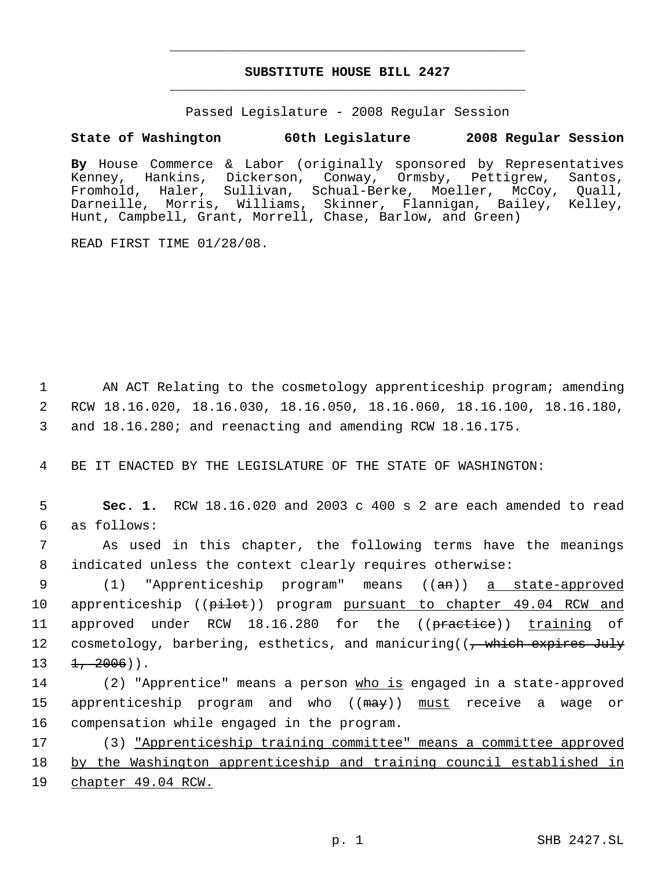# **SUBSTITUTE HOUSE BILL 2427** \_\_\_\_\_\_\_\_\_\_\_\_\_\_\_\_\_\_\_\_\_\_\_\_\_\_\_\_\_\_\_\_\_\_\_\_\_\_\_\_\_\_\_\_\_

\_\_\_\_\_\_\_\_\_\_\_\_\_\_\_\_\_\_\_\_\_\_\_\_\_\_\_\_\_\_\_\_\_\_\_\_\_\_\_\_\_\_\_\_\_

Passed Legislature - 2008 Regular Session

## **State of Washington 60th Legislature 2008 Regular Session**

**By** House Commerce & Labor (originally sponsored by Representatives Kenney, Hankins, Dickerson, Conway, Ormsby, Pettigrew, Santos, Fromhold, Haler, Sullivan, Schual-Berke, Moeller, McCoy, Quall, Darneille, Morris, Williams, Skinner, Flannigan, Bailey, Kelley, Hunt, Campbell, Grant, Morrell, Chase, Barlow, and Green)

READ FIRST TIME 01/28/08.

 1 AN ACT Relating to the cosmetology apprenticeship program; amending 2 RCW 18.16.020, 18.16.030, 18.16.050, 18.16.060, 18.16.100, 18.16.180, 3 and 18.16.280; and reenacting and amending RCW 18.16.175.

4 BE IT ENACTED BY THE LEGISLATURE OF THE STATE OF WASHINGTON:

 5 **Sec. 1.** RCW 18.16.020 and 2003 c 400 s 2 are each amended to read 6 as follows:

 7 As used in this chapter, the following terms have the meanings 8 indicated unless the context clearly requires otherwise:

9 (1) "Apprenticeship program" means ((an)) a state-approved 10 apprenticeship (( $p\text{-}1\text{-}1$ ) program pursuant to chapter 49.04 RCW and 11 approved under RCW 18.16.280 for the ((practice)) training of 12 cosmetology, barbering, esthetics, and manicuring((<del>, which expires July</del>  $13 \quad \frac{1}{2006}$ ).

14 (2) "Apprentice" means a person who is engaged in a state-approved 15 apprenticeship program and who ((may)) must receive a wage or 16 compensation while engaged in the program.

17 (3) "Apprenticeship training committee" means a committee approved 18 by the Washington apprenticeship and training council established in 19 chapter 49.04 RCW.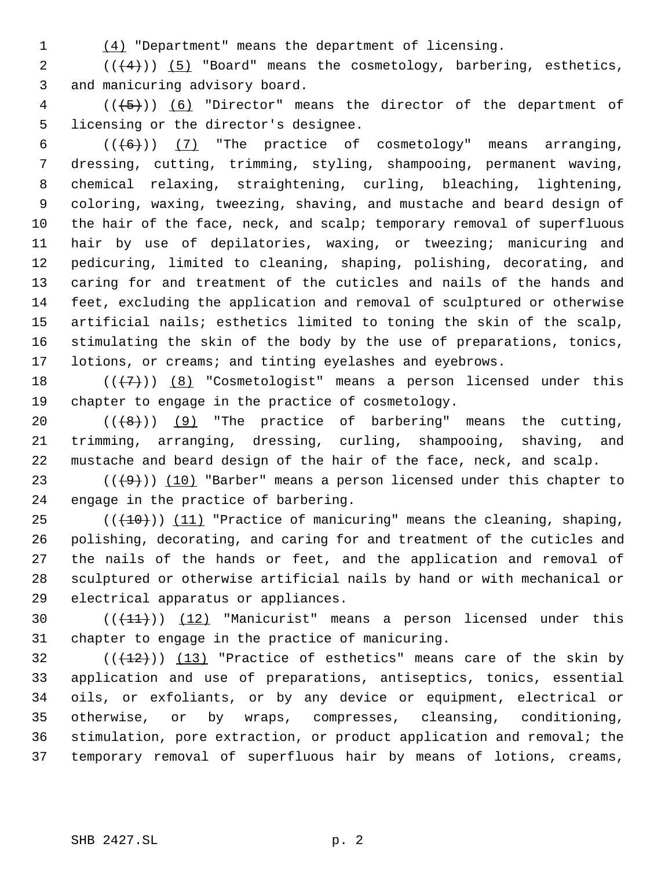(4) "Department" means the department of licensing.

2  $((+4))$   $(5)$  "Board" means the cosmetology, barbering, esthetics, and manicuring advisory board.

 (( $\left(\frac{5}{5}\right)$ ) (6) "Director" means the director of the department of licensing or the director's designee.

 $((+6))$   $(7)$  "The practice of cosmetology" means arranging, dressing, cutting, trimming, styling, shampooing, permanent waving, chemical relaxing, straightening, curling, bleaching, lightening, coloring, waxing, tweezing, shaving, and mustache and beard design of the hair of the face, neck, and scalp; temporary removal of superfluous hair by use of depilatories, waxing, or tweezing; manicuring and pedicuring, limited to cleaning, shaping, polishing, decorating, and caring for and treatment of the cuticles and nails of the hands and feet, excluding the application and removal of sculptured or otherwise artificial nails; esthetics limited to toning the skin of the scalp, stimulating the skin of the body by the use of preparations, tonics, lotions, or creams; and tinting eyelashes and eyebrows.

18  $((+7))$   $(8)$  "Cosmetologist" means a person licensed under this chapter to engage in the practice of cosmetology.

20  $((+8))$   $(9)$  "The practice of barbering" means the cutting, trimming, arranging, dressing, curling, shampooing, shaving, and mustache and beard design of the hair of the face, neck, and scalp.

23 ( $(\langle 49 \rangle)$ ) (10) "Barber" means a person licensed under this chapter to engage in the practice of barbering.

 $((+10))$   $(11)$  "Practice of manicuring" means the cleaning, shaping, polishing, decorating, and caring for and treatment of the cuticles and the nails of the hands or feet, and the application and removal of sculptured or otherwise artificial nails by hand or with mechanical or electrical apparatus or appliances.

30  $((+11))$   $(12)$  "Manicurist" means a person licensed under this chapter to engage in the practice of manicuring.

 $((+12))$   $(13)$  "Practice of esthetics" means care of the skin by application and use of preparations, antiseptics, tonics, essential oils, or exfoliants, or by any device or equipment, electrical or otherwise, or by wraps, compresses, cleansing, conditioning, stimulation, pore extraction, or product application and removal; the temporary removal of superfluous hair by means of lotions, creams,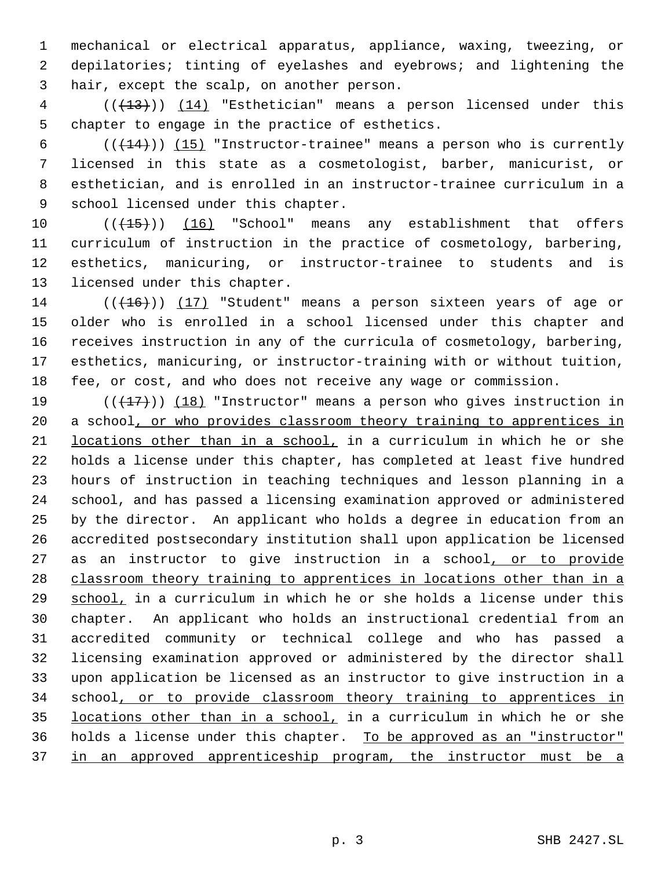mechanical or electrical apparatus, appliance, waxing, tweezing, or depilatories; tinting of eyelashes and eyebrows; and lightening the hair, except the scalp, on another person.

4 (( $(13)$ )) (14) "Esthetician" means a person licensed under this chapter to engage in the practice of esthetics.

 $((+14))$   $(15)$  "Instructor-trainee" means a person who is currently licensed in this state as a cosmetologist, barber, manicurist, or esthetician, and is enrolled in an instructor-trainee curriculum in a school licensed under this chapter.

10 (( $\left(\frac{15}{15}\right)$ ) (16) "School" means any establishment that offers curriculum of instruction in the practice of cosmetology, barbering, esthetics, manicuring, or instructor-trainee to students and is licensed under this chapter.

 $((+16))$  (17) "Student" means a person sixteen years of age or older who is enrolled in a school licensed under this chapter and receives instruction in any of the curricula of cosmetology, barbering, esthetics, manicuring, or instructor-training with or without tuition, fee, or cost, and who does not receive any wage or commission.

 $((+17))$   $(18)$  "Instructor" means a person who gives instruction in 20 a school, or who provides classroom theory training to apprentices in locations other than in a school, in a curriculum in which he or she holds a license under this chapter, has completed at least five hundred hours of instruction in teaching techniques and lesson planning in a school, and has passed a licensing examination approved or administered by the director. An applicant who holds a degree in education from an accredited postsecondary institution shall upon application be licensed 27 as an instructor to give instruction in a school, or to provide classroom theory training to apprentices in locations other than in a school, in a curriculum in which he or she holds a license under this chapter. An applicant who holds an instructional credential from an accredited community or technical college and who has passed a licensing examination approved or administered by the director shall upon application be licensed as an instructor to give instruction in a 34 school, or to provide classroom theory training to apprentices in locations other than in a school, in a curriculum in which he or she 36 holds a license under this chapter. To be approved as an "instructor" 37 in an approved apprenticeship program, the instructor must be a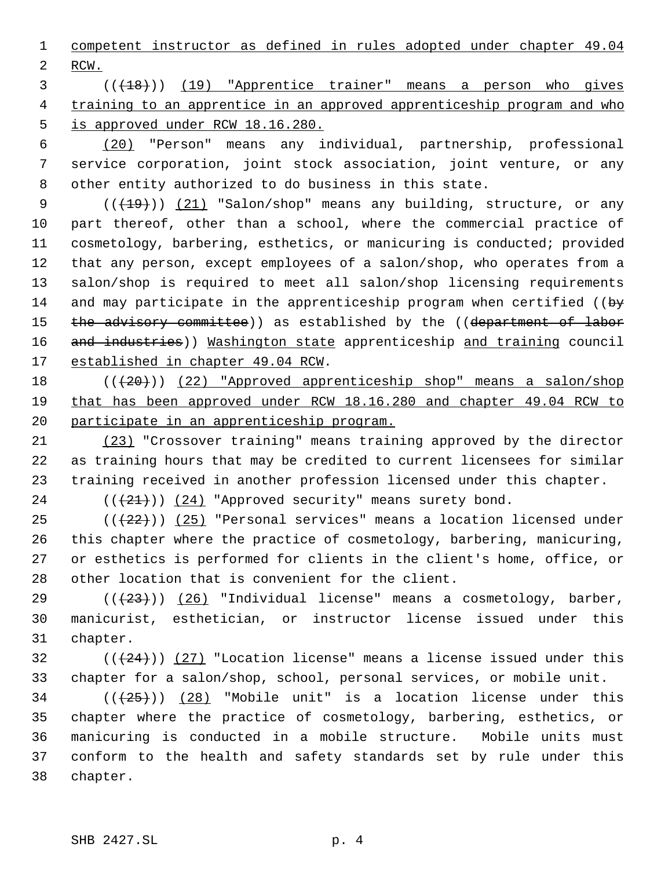competent instructor as defined in rules adopted under chapter 49.04 RCW.

 (((18))) (19) "Apprentice trainer" means a person who gives 4 training to an apprentice in an approved apprenticeship program and who 5 is approved under RCW 18.16.280.

 (20) "Person" means any individual, partnership, professional service corporation, joint stock association, joint venture, or any other entity authorized to do business in this state.

 $((+19))$   $(21)$  "Salon/shop" means any building, structure, or any part thereof, other than a school, where the commercial practice of cosmetology, barbering, esthetics, or manicuring is conducted; provided that any person, except employees of a salon/shop, who operates from a salon/shop is required to meet all salon/shop licensing requirements 14 and may participate in the apprenticeship program when certified ( $\biguplus$ 15 the advisory committee)) as established by the ((department of labor 16 and industries)) Washington state apprenticeship and training council 17 established in chapter 49.04 RCW.

18 (( $(20)$ )) (22) "Approved apprenticeship shop" means a salon/shop that has been approved under RCW 18.16.280 and chapter 49.04 RCW to participate in an apprenticeship program.

 (23) "Crossover training" means training approved by the director as training hours that may be credited to current licensees for similar training received in another profession licensed under this chapter.

24  $((+21))$   $(24)$  "Approved security" means surety bond.

 $((+22))$  (25) "Personal services" means a location licensed under this chapter where the practice of cosmetology, barbering, manicuring, or esthetics is performed for clients in the client's home, office, or other location that is convenient for the client.

29  $((+23))$   $(26)$  "Individual license" means a cosmetology, barber, manicurist, esthetician, or instructor license issued under this chapter.

32 ( $(\frac{24}{12})$  (27) "Location license" means a license issued under this chapter for a salon/shop, school, personal services, or mobile unit.

 ( $(\overline{25})$ ) (28) "Mobile unit" is a location license under this chapter where the practice of cosmetology, barbering, esthetics, or manicuring is conducted in a mobile structure. Mobile units must conform to the health and safety standards set by rule under this chapter.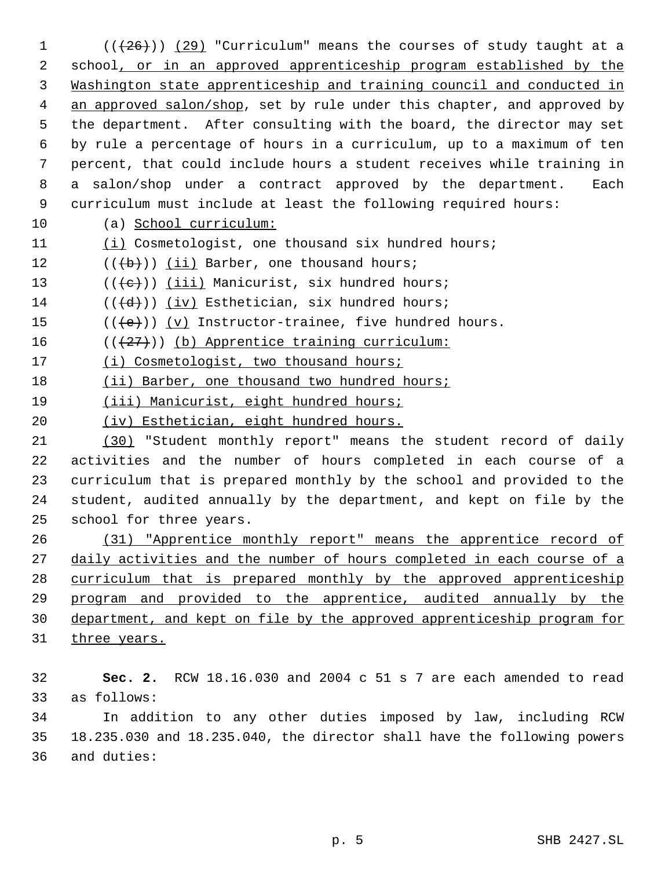$((+26))$   $(29)$  "Curriculum" means the courses of study taught at a 2 school, or in an approved apprenticeship program established by the Washington state apprenticeship and training council and conducted in 4 an approved salon/shop, set by rule under this chapter, and approved by the department. After consulting with the board, the director may set by rule a percentage of hours in a curriculum, up to a maximum of ten percent, that could include hours a student receives while training in a salon/shop under a contract approved by the department. Each curriculum must include at least the following required hours: (a) School curriculum: (i) Cosmetologist, one thousand six hundred hours;  $((\{b\})\)$  (ii) Barber, one thousand hours;

13  $((\{e\}) \cup \{iii\})$  Manicurist, six hundred hours;

14  $((\{d\})$  (iv) Esthetician, six hundred hours;

15  $((\{e\}) \ (v)$  Instructor-trainee, five hundred hours.

16  $((+27))$  (b) Apprentice training curriculum:

17 (i) Cosmetologist, two thousand hours;

18 (ii) Barber, one thousand two hundred hours;

19 (iii) Manicurist, eight hundred hours;

(iv) Esthetician, eight hundred hours.

 (30) "Student monthly report" means the student record of daily activities and the number of hours completed in each course of a curriculum that is prepared monthly by the school and provided to the student, audited annually by the department, and kept on file by the school for three years.

 (31) "Apprentice monthly report" means the apprentice record of 27 daily activities and the number of hours completed in each course of a curriculum that is prepared monthly by the approved apprenticeship program and provided to the apprentice, audited annually by the department, and kept on file by the approved apprenticeship program for

31 three years.

 **Sec. 2.** RCW 18.16.030 and 2004 c 51 s 7 are each amended to read as follows:

 In addition to any other duties imposed by law, including RCW 18.235.030 and 18.235.040, the director shall have the following powers and duties: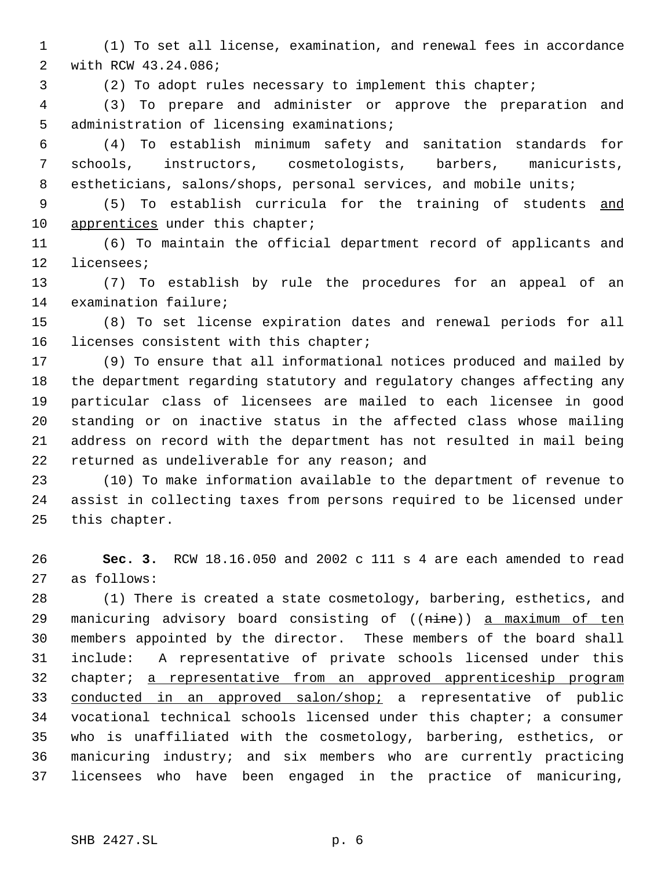(1) To set all license, examination, and renewal fees in accordance with RCW 43.24.086;

(2) To adopt rules necessary to implement this chapter;

 (3) To prepare and administer or approve the preparation and administration of licensing examinations;

 (4) To establish minimum safety and sanitation standards for schools, instructors, cosmetologists, barbers, manicurists, 8 estheticians, salons/shops, personal services, and mobile units;

 (5) To establish curricula for the training of students and 10 apprentices under this chapter;

 (6) To maintain the official department record of applicants and licensees;

 (7) To establish by rule the procedures for an appeal of an examination failure;

 (8) To set license expiration dates and renewal periods for all licenses consistent with this chapter;

 (9) To ensure that all informational notices produced and mailed by the department regarding statutory and regulatory changes affecting any particular class of licensees are mailed to each licensee in good standing or on inactive status in the affected class whose mailing address on record with the department has not resulted in mail being returned as undeliverable for any reason; and

 (10) To make information available to the department of revenue to assist in collecting taxes from persons required to be licensed under this chapter.

 **Sec. 3.** RCW 18.16.050 and 2002 c 111 s 4 are each amended to read as follows:

 (1) There is created a state cosmetology, barbering, esthetics, and 29 manicuring advisory board consisting of ((nine)) a maximum of ten members appointed by the director. These members of the board shall include: A representative of private schools licensed under this 32 chapter; a representative from an approved apprenticeship program 33 conducted in an approved salon/shop; a representative of public vocational technical schools licensed under this chapter; a consumer who is unaffiliated with the cosmetology, barbering, esthetics, or manicuring industry; and six members who are currently practicing licensees who have been engaged in the practice of manicuring,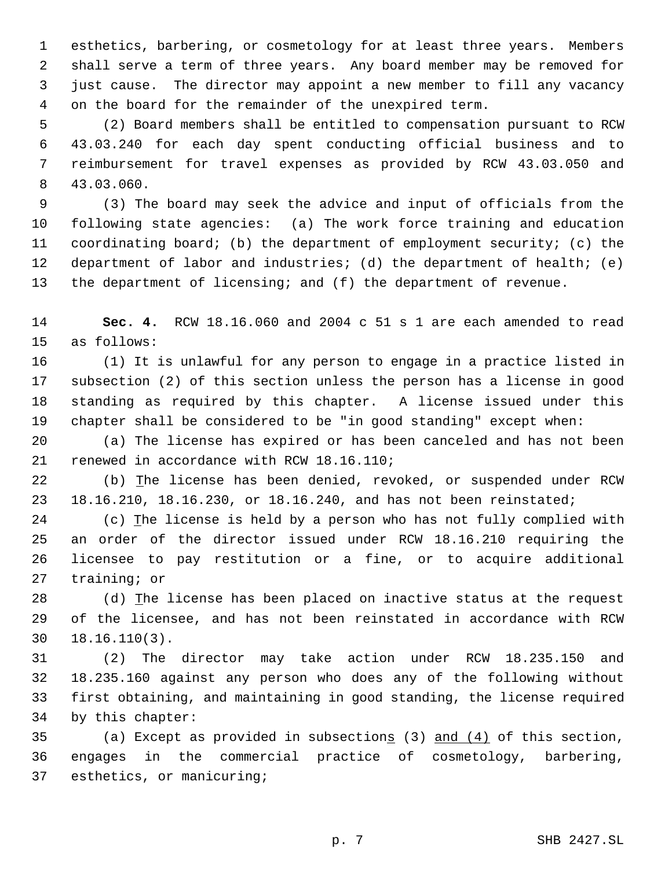esthetics, barbering, or cosmetology for at least three years. Members shall serve a term of three years. Any board member may be removed for just cause. The director may appoint a new member to fill any vacancy on the board for the remainder of the unexpired term.

 (2) Board members shall be entitled to compensation pursuant to RCW 43.03.240 for each day spent conducting official business and to reimbursement for travel expenses as provided by RCW 43.03.050 and 43.03.060.

 (3) The board may seek the advice and input of officials from the following state agencies: (a) The work force training and education coordinating board; (b) the department of employment security; (c) the department of labor and industries; (d) the department of health; (e) the department of licensing; and (f) the department of revenue.

 **Sec. 4.** RCW 18.16.060 and 2004 c 51 s 1 are each amended to read as follows:

 (1) It is unlawful for any person to engage in a practice listed in subsection (2) of this section unless the person has a license in good standing as required by this chapter. A license issued under this chapter shall be considered to be "in good standing" except when:

 (a) The license has expired or has been canceled and has not been renewed in accordance with RCW 18.16.110;

 (b) The license has been denied, revoked, or suspended under RCW 18.16.210, 18.16.230, or 18.16.240, and has not been reinstated;

 (c) The license is held by a person who has not fully complied with an order of the director issued under RCW 18.16.210 requiring the licensee to pay restitution or a fine, or to acquire additional training; or

 (d) The license has been placed on inactive status at the request of the licensee, and has not been reinstated in accordance with RCW 18.16.110(3).

 (2) The director may take action under RCW 18.235.150 and 18.235.160 against any person who does any of the following without first obtaining, and maintaining in good standing, the license required by this chapter:

35 (a) Except as provided in subsections  $(3)$  and  $(4)$  of this section, engages in the commercial practice of cosmetology, barbering, esthetics, or manicuring;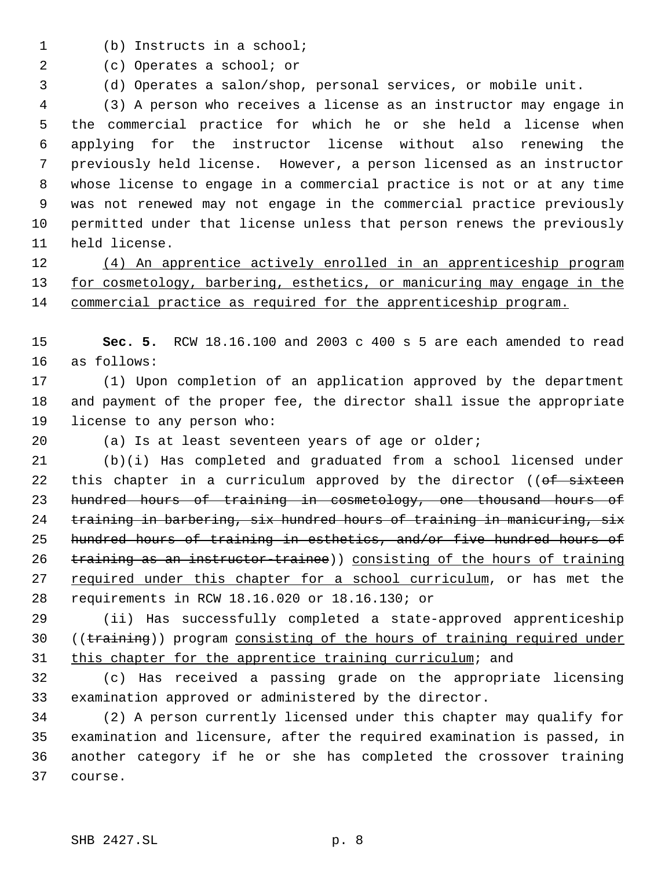- (b) Instructs in a school;
- (c) Operates a school; or
- (d) Operates a salon/shop, personal services, or mobile unit.

 (3) A person who receives a license as an instructor may engage in the commercial practice for which he or she held a license when applying for the instructor license without also renewing the previously held license. However, a person licensed as an instructor whose license to engage in a commercial practice is not or at any time was not renewed may not engage in the commercial practice previously permitted under that license unless that person renews the previously held license.

 (4) An apprentice actively enrolled in an apprenticeship program 13 for cosmetology, barbering, esthetics, or manicuring may engage in the commercial practice as required for the apprenticeship program.

 **Sec. 5.** RCW 18.16.100 and 2003 c 400 s 5 are each amended to read as follows:

 (1) Upon completion of an application approved by the department and payment of the proper fee, the director shall issue the appropriate license to any person who:

(a) Is at least seventeen years of age or older;

 (b)(i) Has completed and graduated from a school licensed under 22 this chapter in a curriculum approved by the director ((of sixteen hundred hours of training in cosmetology, one thousand hours of training in barbering, six hundred hours of training in manicuring, six hundred hours of training in esthetics, and/or five hundred hours of training as an instructor-trainee)) consisting of the hours of training 27 required under this chapter for a school curriculum, or has met the requirements in RCW 18.16.020 or 18.16.130; or

 (ii) Has successfully completed a state-approved apprenticeship 30 ((training)) program consisting of the hours of training required under this chapter for the apprentice training curriculum; and

 (c) Has received a passing grade on the appropriate licensing examination approved or administered by the director.

 (2) A person currently licensed under this chapter may qualify for examination and licensure, after the required examination is passed, in another category if he or she has completed the crossover training course.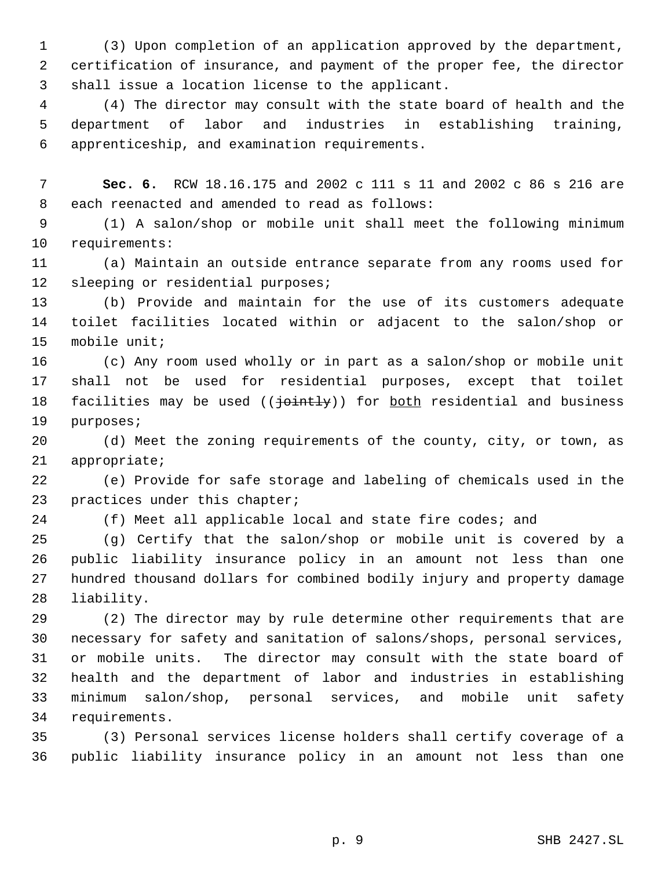(3) Upon completion of an application approved by the department, certification of insurance, and payment of the proper fee, the director shall issue a location license to the applicant.

 (4) The director may consult with the state board of health and the department of labor and industries in establishing training, apprenticeship, and examination requirements.

 **Sec. 6.** RCW 18.16.175 and 2002 c 111 s 11 and 2002 c 86 s 216 are each reenacted and amended to read as follows:

 (1) A salon/shop or mobile unit shall meet the following minimum requirements:

 (a) Maintain an outside entrance separate from any rooms used for sleeping or residential purposes;

 (b) Provide and maintain for the use of its customers adequate toilet facilities located within or adjacent to the salon/shop or mobile unit;

 (c) Any room used wholly or in part as a salon/shop or mobile unit shall not be used for residential purposes, except that toilet 18 facilities may be used (( $\frac{1}{10}$ ) for both residential and business purposes;

 (d) Meet the zoning requirements of the county, city, or town, as appropriate;

 (e) Provide for safe storage and labeling of chemicals used in the practices under this chapter;

(f) Meet all applicable local and state fire codes; and

 (g) Certify that the salon/shop or mobile unit is covered by a public liability insurance policy in an amount not less than one hundred thousand dollars for combined bodily injury and property damage liability.

 (2) The director may by rule determine other requirements that are necessary for safety and sanitation of salons/shops, personal services, or mobile units. The director may consult with the state board of health and the department of labor and industries in establishing minimum salon/shop, personal services, and mobile unit safety requirements.

 (3) Personal services license holders shall certify coverage of a public liability insurance policy in an amount not less than one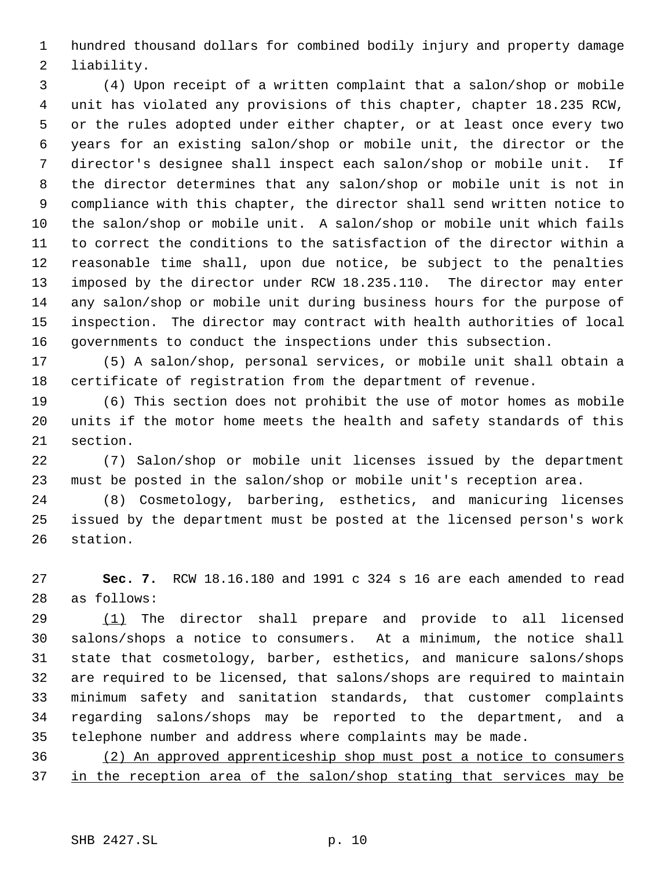hundred thousand dollars for combined bodily injury and property damage liability.

 (4) Upon receipt of a written complaint that a salon/shop or mobile unit has violated any provisions of this chapter, chapter 18.235 RCW, or the rules adopted under either chapter, or at least once every two years for an existing salon/shop or mobile unit, the director or the director's designee shall inspect each salon/shop or mobile unit. If the director determines that any salon/shop or mobile unit is not in compliance with this chapter, the director shall send written notice to the salon/shop or mobile unit. A salon/shop or mobile unit which fails to correct the conditions to the satisfaction of the director within a reasonable time shall, upon due notice, be subject to the penalties imposed by the director under RCW 18.235.110. The director may enter any salon/shop or mobile unit during business hours for the purpose of inspection. The director may contract with health authorities of local governments to conduct the inspections under this subsection.

 (5) A salon/shop, personal services, or mobile unit shall obtain a certificate of registration from the department of revenue.

 (6) This section does not prohibit the use of motor homes as mobile units if the motor home meets the health and safety standards of this section.

 (7) Salon/shop or mobile unit licenses issued by the department must be posted in the salon/shop or mobile unit's reception area.

 (8) Cosmetology, barbering, esthetics, and manicuring licenses issued by the department must be posted at the licensed person's work station.

 **Sec. 7.** RCW 18.16.180 and 1991 c 324 s 16 are each amended to read as follows:

29 (1) The director shall prepare and provide to all licensed salons/shops a notice to consumers. At a minimum, the notice shall state that cosmetology, barber, esthetics, and manicure salons/shops are required to be licensed, that salons/shops are required to maintain minimum safety and sanitation standards, that customer complaints regarding salons/shops may be reported to the department, and a telephone number and address where complaints may be made.

 (2) An approved apprenticeship shop must post a notice to consumers 37 in the reception area of the salon/shop stating that services may be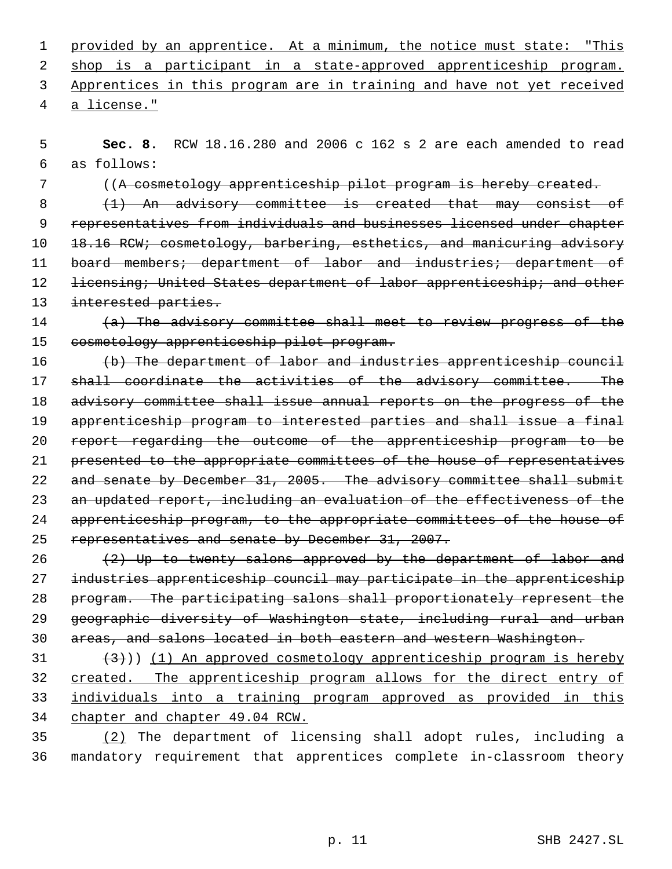1 provided by an apprentice. At a minimum, the notice must state: "This 2 shop is a participant in a state-approved apprenticeship program. Apprentices in this program are in training and have not yet received

a license."

 **Sec. 8.** RCW 18.16.280 and 2006 c 162 s 2 are each amended to read as follows:

((A cosmetology apprenticeship pilot program is hereby created.

 (1) An advisory committee is created that may consist of representatives from individuals and businesses licensed under chapter 10 18.16 RCW; cosmetology, barbering, esthetics, and manicuring advisory 11 board members; department of labor and industries; department of 12 <del>licensing; United States department of labor apprenticeship; and other</del> 13 interested parties.

# (a) The advisory committee shall meet to review progress of the cosmetology apprenticeship pilot program.

16 (b) The department of labor and industries apprenticeship council 17 shall coordinate the activities of the advisory committee. The advisory committee shall issue annual reports on the progress of the apprenticeship program to interested parties and shall issue a final report regarding the outcome of the apprenticeship program to be presented to the appropriate committees of the house of representatives 22 and senate by December 31, 2005. The advisory committee shall submit 23 an updated report, including an evaluation of the effectiveness of the apprenticeship program, to the appropriate committees of the house of representatives and senate by December 31, 2007.

 (2) Up to twenty salons approved by the department of labor and industries apprenticeship council may participate in the apprenticeship program. The participating salons shall proportionately represent the geographic diversity of Washington state, including rural and urban areas, and salons located in both eastern and western Washington.

 $(31$   $(3)$ ) (1) An approved cosmetology apprenticeship program is hereby 32 created. The apprenticeship program allows for the direct entry of individuals into a training program approved as provided in this chapter and chapter 49.04 RCW.

 (2) The department of licensing shall adopt rules, including a mandatory requirement that apprentices complete in-classroom theory